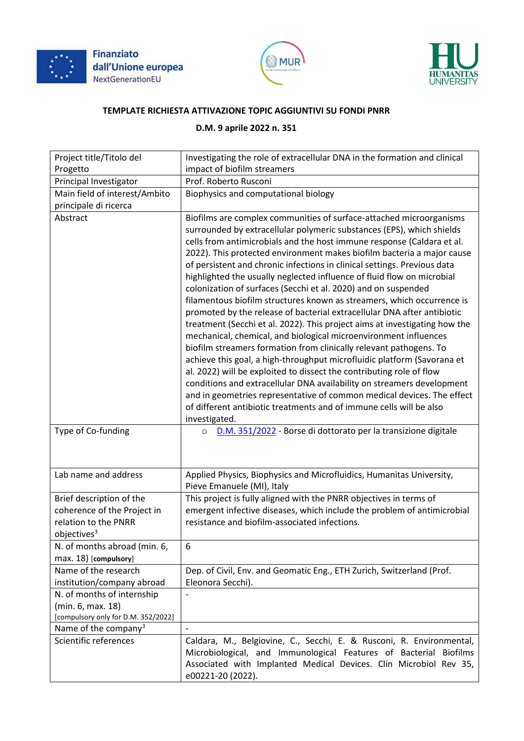





## **TEMPLATE RICHIESTA ATTIVAZIONE TOPIC AGGIUNTIVI SU FONDI PNRR**

## **D.M. 9 aprile 2022 n. 351**

| Project title/Titolo del                                                       | Investigating the role of extracellular DNA in the formation and clinical                                                                                                                                                                                                                                                                                                                                                                                                                                                                                                                                                                                                                                                                                                                                                                                                                                                                                                                                                                                                                                                                                                                                                                                                                            |
|--------------------------------------------------------------------------------|------------------------------------------------------------------------------------------------------------------------------------------------------------------------------------------------------------------------------------------------------------------------------------------------------------------------------------------------------------------------------------------------------------------------------------------------------------------------------------------------------------------------------------------------------------------------------------------------------------------------------------------------------------------------------------------------------------------------------------------------------------------------------------------------------------------------------------------------------------------------------------------------------------------------------------------------------------------------------------------------------------------------------------------------------------------------------------------------------------------------------------------------------------------------------------------------------------------------------------------------------------------------------------------------------|
| Progetto                                                                       | impact of biofilm streamers                                                                                                                                                                                                                                                                                                                                                                                                                                                                                                                                                                                                                                                                                                                                                                                                                                                                                                                                                                                                                                                                                                                                                                                                                                                                          |
| Principal Investigator                                                         | Prof. Roberto Rusconi                                                                                                                                                                                                                                                                                                                                                                                                                                                                                                                                                                                                                                                                                                                                                                                                                                                                                                                                                                                                                                                                                                                                                                                                                                                                                |
| Main field of interest/Ambito                                                  | Biophysics and computational biology                                                                                                                                                                                                                                                                                                                                                                                                                                                                                                                                                                                                                                                                                                                                                                                                                                                                                                                                                                                                                                                                                                                                                                                                                                                                 |
| principale di ricerca                                                          |                                                                                                                                                                                                                                                                                                                                                                                                                                                                                                                                                                                                                                                                                                                                                                                                                                                                                                                                                                                                                                                                                                                                                                                                                                                                                                      |
| Abstract                                                                       | Biofilms are complex communities of surface-attached microorganisms<br>surrounded by extracellular polymeric substances (EPS), which shields<br>cells from antimicrobials and the host immune response (Caldara et al.<br>2022). This protected environment makes biofilm bacteria a major cause<br>of persistent and chronic infections in clinical settings. Previous data<br>highlighted the usually neglected influence of fluid flow on microbial<br>colonization of surfaces (Secchi et al. 2020) and on suspended<br>filamentous biofilm structures known as streamers, which occurrence is<br>promoted by the release of bacterial extracellular DNA after antibiotic<br>treatment (Secchi et al. 2022). This project aims at investigating how the<br>mechanical, chemical, and biological microenvironment influences<br>biofilm streamers formation from clinically relevant pathogens. To<br>achieve this goal, a high-throughput microfluidic platform (Savorana et<br>al. 2022) will be exploited to dissect the contributing role of flow<br>conditions and extracellular DNA availability on streamers development<br>and in geometries representative of common medical devices. The effect<br>of different antibiotic treatments and of immune cells will be also<br>investigated. |
| Type of Co-funding                                                             | D.M. 351/2022 - Borse di dottorato per la transizione digitale<br>$\circ$                                                                                                                                                                                                                                                                                                                                                                                                                                                                                                                                                                                                                                                                                                                                                                                                                                                                                                                                                                                                                                                                                                                                                                                                                            |
| Lab name and address                                                           | Applied Physics, Biophysics and Microfluidics, Humanitas University,<br>Pieve Emanuele (MI), Italy                                                                                                                                                                                                                                                                                                                                                                                                                                                                                                                                                                                                                                                                                                                                                                                                                                                                                                                                                                                                                                                                                                                                                                                                   |
| Brief description of the                                                       | This project is fully aligned with the PNRR objectives in terms of                                                                                                                                                                                                                                                                                                                                                                                                                                                                                                                                                                                                                                                                                                                                                                                                                                                                                                                                                                                                                                                                                                                                                                                                                                   |
| coherence of the Project in<br>relation to the PNRR<br>objectives <sup>3</sup> | emergent infective diseases, which include the problem of antimicrobial<br>resistance and biofilm-associated infections.                                                                                                                                                                                                                                                                                                                                                                                                                                                                                                                                                                                                                                                                                                                                                                                                                                                                                                                                                                                                                                                                                                                                                                             |
| N. of months abroad (min. 6,<br>max. 18) [compulsory]                          | 6                                                                                                                                                                                                                                                                                                                                                                                                                                                                                                                                                                                                                                                                                                                                                                                                                                                                                                                                                                                                                                                                                                                                                                                                                                                                                                    |
| Name of the research                                                           | Dep. of Civil, Env. and Geomatic Eng., ETH Zurich, Switzerland (Prof.                                                                                                                                                                                                                                                                                                                                                                                                                                                                                                                                                                                                                                                                                                                                                                                                                                                                                                                                                                                                                                                                                                                                                                                                                                |
| institution/company abroad                                                     | Eleonora Secchi).                                                                                                                                                                                                                                                                                                                                                                                                                                                                                                                                                                                                                                                                                                                                                                                                                                                                                                                                                                                                                                                                                                                                                                                                                                                                                    |
| N. of months of internship                                                     |                                                                                                                                                                                                                                                                                                                                                                                                                                                                                                                                                                                                                                                                                                                                                                                                                                                                                                                                                                                                                                                                                                                                                                                                                                                                                                      |
| (min. 6, max. 18)                                                              |                                                                                                                                                                                                                                                                                                                                                                                                                                                                                                                                                                                                                                                                                                                                                                                                                                                                                                                                                                                                                                                                                                                                                                                                                                                                                                      |
| [compulsory only for D.M. 352/2022]                                            |                                                                                                                                                                                                                                                                                                                                                                                                                                                                                                                                                                                                                                                                                                                                                                                                                                                                                                                                                                                                                                                                                                                                                                                                                                                                                                      |
| Name of the company <sup>3</sup>                                               |                                                                                                                                                                                                                                                                                                                                                                                                                                                                                                                                                                                                                                                                                                                                                                                                                                                                                                                                                                                                                                                                                                                                                                                                                                                                                                      |
| Scientific references                                                          | Caldara, M., Belgiovine, C., Secchi, E. & Rusconi, R. Environmental,<br>Microbiological, and Immunological Features of Bacterial Biofilms<br>Associated with Implanted Medical Devices. Clin Microbiol Rev 35,<br>e00221-20 (2022).                                                                                                                                                                                                                                                                                                                                                                                                                                                                                                                                                                                                                                                                                                                                                                                                                                                                                                                                                                                                                                                                  |